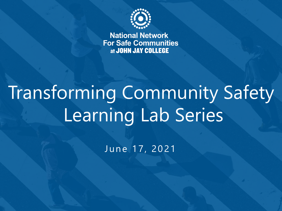

**National Network For Safe Communities** at JOHN JAY COLLEGE

## Transforming Community Safety Learning Lab Series

June 17, 2021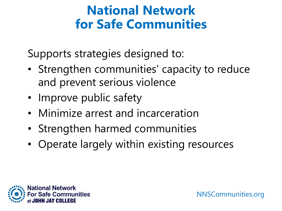#### **National Network for Safe Communities**

Supports strategies designed to:

- Strengthen communities' capacity to reduce and prevent serious violence
- Improve public safety
- Minimize arrest and incarceration
- Strengthen harmed communities
- Operate largely within existing resources

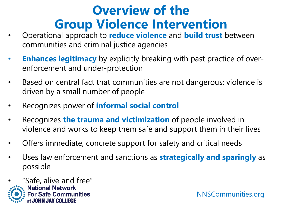#### **Overview of the Group Violence Intervention**

- Operational approach to **reduce violence** and **build trust** between communities and criminal justice agencies
- **Enhances legitimacy** by explicitly breaking with past practice of overenforcement and under-protection
- Based on central fact that communities are not dangerous: violence is driven by a small number of people
- Recognizes power of **informal social control**
- Recognizes **the trauma and victimization** of people involved in violence and works to keep them safe and support them in their lives
- Offers immediate, concrete support for safety and critical needs
- Uses law enforcement and sanctions as **strategically and sparingly** as possible

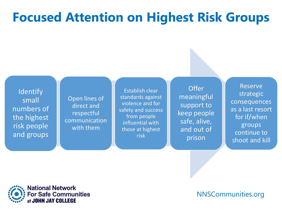## **Focused Attention on Highest Risk Groups**

**Identify** small numbers of the highest risk people and groups

Open lines of direct and respectful communication with them

Establish clear standards against violence and for safety and success from people influential with those at highest risk

**Offer** meaningful support to keep people safe, alive, and out of prison

Reserve strategic consequences as a last resort for if/when groups continue to shoot and kill

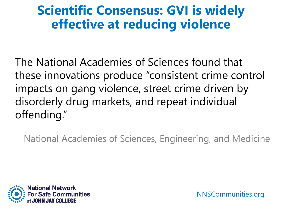#### **Scientific Consensus: GVI is widely effective at reducing violence**

The National Academies of Sciences found that these innovations produce "consistent crime control impacts on gang violence, street crime driven by disorderly drug markets, and repeat individual offending."

National Academies of Sciences, Engineering, and Medicine

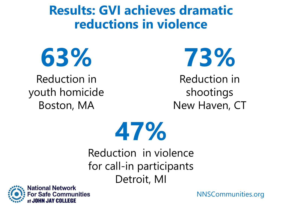#### **Results: GVI achieves dramatic reductions in violence**



Reduction in youth homicide Boston, MA

**73%**

Reduction in shootings New Haven, CT



Reduction in violence for call-in participants Detroit, MI

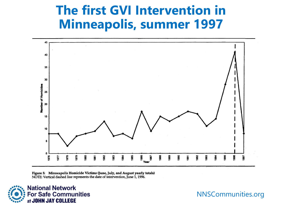#### **The first GVI Intervention in Minneapolis, summer 1997**



Figure 5: Minneapolis Homicide Victims (June, July, and August yearly totals) NOTE: Vertical dashed line represents the date of intervention, June 1, 1996.

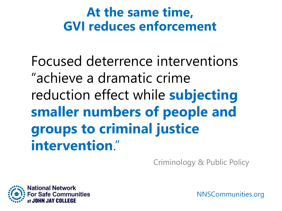#### **At the same time, GVI reduces enforcement**

Focused deterrence interventions "achieve a dramatic crime reduction effect while **subjecting smaller numbers of people and groups to criminal justice intervention**."

Criminology & Public Policy

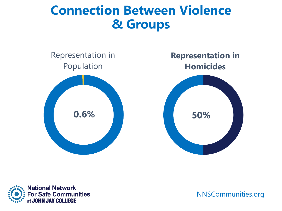#### **Connection Between Violence & Groups**



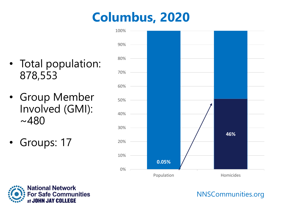## **Columbus, 2020**

- Total population: 878,553
- Group Member Involved (GMI):  $~1480$
- Groups: 17



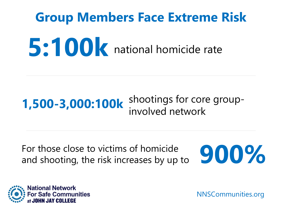# **Group Members Face Extreme Risk 5:100k** national homicide rate

#### shootings for core group-**1,500-3,000:100k** shootings for core

For those close to victims of homicide For those close to victims of homicide<br>and shooting, the risk increases by up to **9000%** 



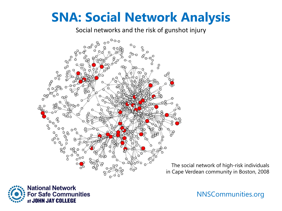#### **SNA: Social Network Analysis**

Social networks and the risk of gunshot injury



The social network of high-risk individuals in Cape Verdean community in Boston, 2008

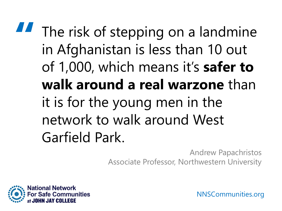## **"** The risk of stepping on a landmine in Afghanistan is less than 10 out of 1,000, which means it's **safer to walk around a real warzone** than it is for the young men in the network to walk around West Garfield Park.

Andrew Papachristos Associate Professor, Northwestern University

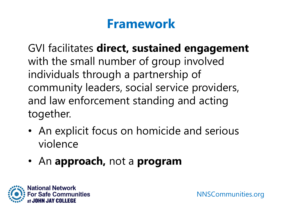#### **Framework**

GVI facilitates **direct, sustained engagement**  with the small number of group involved individuals through a partnership of community leaders, social service providers, and law enforcement standing and acting together.

- An explicit focus on homicide and serious violence
- An **approach,** not a **program**

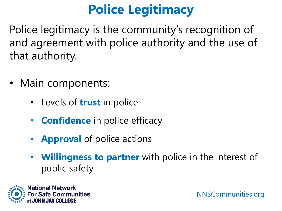## **Police Legitimacy**

Police legitimacy is the community's recognition of and agreement with police authority and the use of that authority.

- Main components:
	- Levels of **trust** in police
	- **Confidence** in police efficacy
	- **Approval** of police actions
	- **Willingness to partner** with police in the interest of public safety

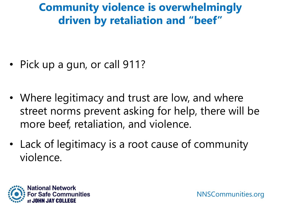#### **Community violence is overwhelmingly driven by retaliation and "beef"**

- Pick up a gun, or call 911?
- Where legitimacy and trust are low, and where street norms prevent asking for help, there will be more beef, retaliation, and violence.
- Lack of legitimacy is a root cause of community violence.

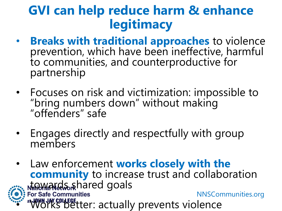#### **GVI can help reduce harm & enhance legitimacy**

- **Breaks with traditional approaches** to violence prevention, which have been ineffective, harmful to communities, and counterproductive for partnership
- Focuses on risk and victimization: impossible to "bring numbers down" without making "offenders" safe
- Engages directly and respectfully with group members
- NNSCommunities.org • Law enforcement **works closely with the community** to increase trust and collaboration nt was a faith and goals **JAY COLLEGE**<br>IFKS Detter: actually prevents violence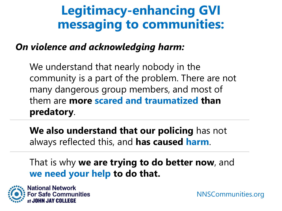#### **Legitimacy-enhancing GVI messaging to communities:**

#### *On violence and acknowledging harm:*

We understand that nearly nobody in the community is a part of the problem. There are not many dangerous group members, and most of them are **more scared and traumatized than predatory**.

**We also understand that our policing** has not always reflected this, and **has caused harm**.

That is why **we are trying to do better now**, and **we need your help to do that.**

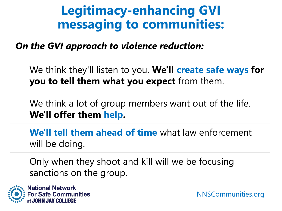#### **Legitimacy-enhancing GVI messaging to communities:**

*On the GVI approach to violence reduction:*

We think they'll listen to you. **We'll create safe ways for you to tell them what you expect** from them.

We think a lot of group members want out of the life. **We'll offer them help.**

**We'll tell them ahead of time** what law enforcement will be doing.

Only when they shoot and kill will we be focusing sanctions on the group.

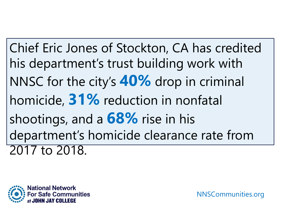Chief Eric Jones of Stockton, CA has credited his department's trust building work with NNSC for the city's **40%** drop in criminal homicide, **31%** reduction in nonfatal shootings, and a **68%** rise in his department's homicide clearance rate from 2017 to 2018.

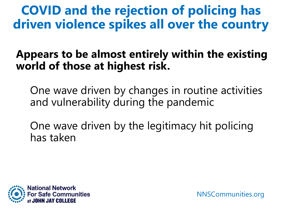**COVID and the rejection of policing has driven violence spikes all over the country**

#### **Appears to be almost entirely within the existing world of those at highest risk.**

One wave driven by changes in routine activities and vulnerability during the pandemic

One wave driven by the legitimacy hit policing has taken